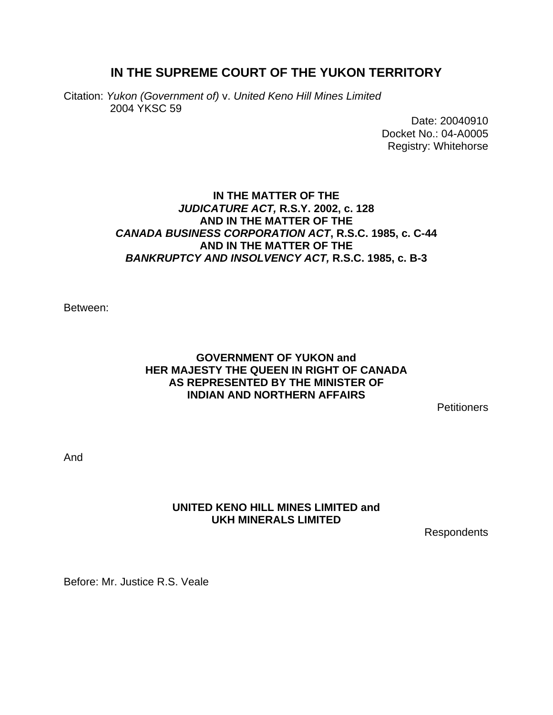# **IN THE SUPREME COURT OF THE YUKON TERRITORY**

Citation: *Yukon (Government of)* v. *United Keno Hill Mines Limited*  2004 YKSC 59

> Date: 20040910 Docket No.: 04-A0005 Registry: Whitehorse

### **IN THE MATTER OF THE**  *JUDICATURE ACT,* **R.S.Y. 2002, c. 128 AND IN THE MATTER OF THE**  *CANADA BUSINESS CORPORATION ACT***, R.S.C. 1985, c. C-44 AND IN THE MATTER OF THE**  *BANKRUPTCY AND INSOLVENCY ACT,* **R.S.C. 1985, c. B-3**

Between:

### **GOVERNMENT OF YUKON and HER MAJESTY THE QUEEN IN RIGHT OF CANADA AS REPRESENTED BY THE MINISTER OF INDIAN AND NORTHERN AFFAIRS**

**Petitioners** 

And

### **UNITED KENO HILL MINES LIMITED and UKH MINERALS LIMITED**

Respondents

Before: Mr. Justice R.S. Veale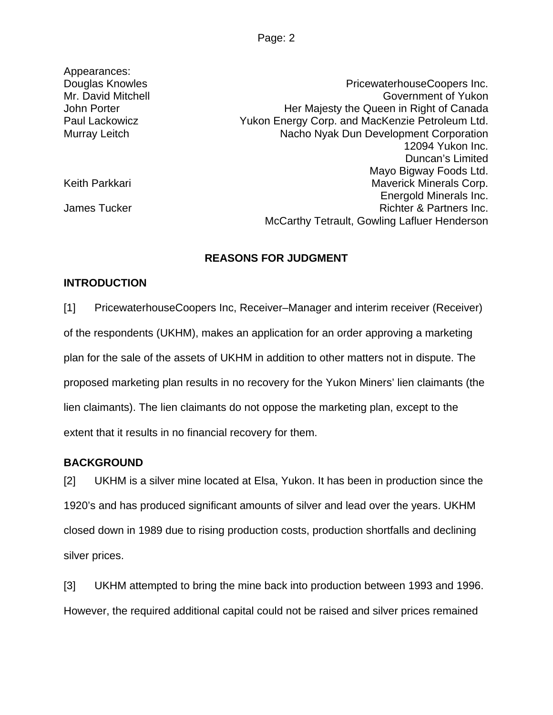| Appearances:       |                                                 |
|--------------------|-------------------------------------------------|
| Douglas Knowles    | PricewaterhouseCoopers Inc.                     |
| Mr. David Mitchell | Government of Yukon                             |
| John Porter        | Her Majesty the Queen in Right of Canada        |
| Paul Lackowicz     | Yukon Energy Corp. and MacKenzie Petroleum Ltd. |
| Murray Leitch      | Nacho Nyak Dun Development Corporation          |
|                    | 12094 Yukon Inc.                                |
|                    | Duncan's Limited                                |
|                    | Mayo Bigway Foods Ltd.                          |
| Keith Parkkari     | <b>Maverick Minerals Corp.</b>                  |
|                    | Energold Minerals Inc.                          |
| James Tucker       | Richter & Partners Inc.                         |
|                    | McCarthy Tetrault, Gowling Lafluer Henderson    |
|                    |                                                 |

### **REASONS FOR JUDGMENT**

### **INTRODUCTION**

[1] PricewaterhouseCoopers Inc, Receiver–Manager and interim receiver (Receiver) of the respondents (UKHM), makes an application for an order approving a marketing plan for the sale of the assets of UKHM in addition to other matters not in dispute. The proposed marketing plan results in no recovery for the Yukon Miners' lien claimants (the lien claimants). The lien claimants do not oppose the marketing plan, except to the extent that it results in no financial recovery for them.

### **BACKGROUND**

[2] UKHM is a silver mine located at Elsa, Yukon. It has been in production since the 1920's and has produced significant amounts of silver and lead over the years. UKHM closed down in 1989 due to rising production costs, production shortfalls and declining silver prices.

[3] UKHM attempted to bring the mine back into production between 1993 and 1996. However, the required additional capital could not be raised and silver prices remained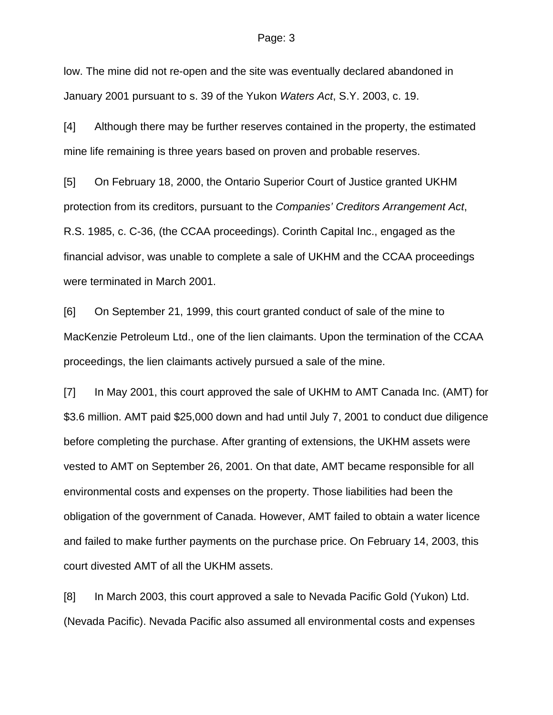#### Page: 3

low. The mine did not re-open and the site was eventually declared abandoned in January 2001 pursuant to s. 39 of the Yukon *Waters Act*, S.Y. 2003, c. 19.

[4] Although there may be further reserves contained in the property, the estimated mine life remaining is three years based on proven and probable reserves.

[5] On February 18, 2000, the Ontario Superior Court of Justice granted UKHM protection from its creditors, pursuant to the *Companies' Creditors Arrangement Act*, R.S. 1985, c. C-36, (the CCAA proceedings). Corinth Capital Inc., engaged as the financial advisor, was unable to complete a sale of UKHM and the CCAA proceedings were terminated in March 2001.

[6] On September 21, 1999, this court granted conduct of sale of the mine to MacKenzie Petroleum Ltd., one of the lien claimants. Upon the termination of the CCAA proceedings, the lien claimants actively pursued a sale of the mine.

[7] In May 2001, this court approved the sale of UKHM to AMT Canada Inc. (AMT) for \$3.6 million. AMT paid \$25,000 down and had until July 7, 2001 to conduct due diligence before completing the purchase. After granting of extensions, the UKHM assets were vested to AMT on September 26, 2001. On that date, AMT became responsible for all environmental costs and expenses on the property. Those liabilities had been the obligation of the government of Canada. However, AMT failed to obtain a water licence and failed to make further payments on the purchase price. On February 14, 2003, this court divested AMT of all the UKHM assets.

[8] In March 2003, this court approved a sale to Nevada Pacific Gold (Yukon) Ltd. (Nevada Pacific). Nevada Pacific also assumed all environmental costs and expenses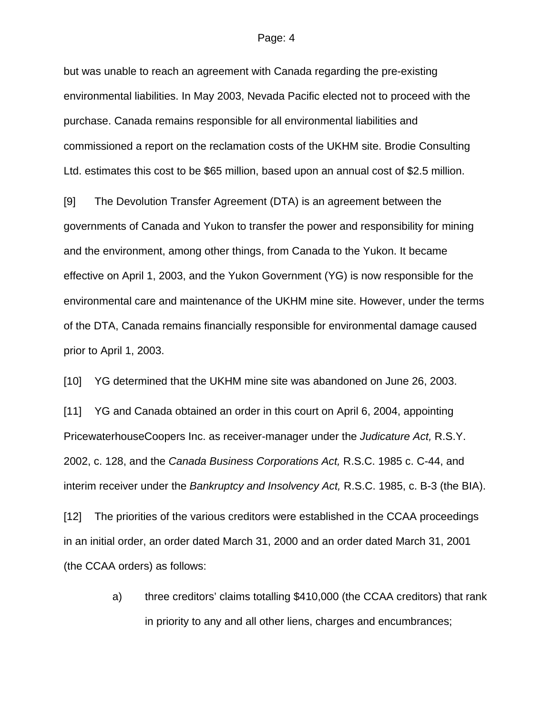#### Page: 4

but was unable to reach an agreement with Canada regarding the pre-existing environmental liabilities. In May 2003, Nevada Pacific elected not to proceed with the purchase. Canada remains responsible for all environmental liabilities and commissioned a report on the reclamation costs of the UKHM site. Brodie Consulting Ltd. estimates this cost to be \$65 million, based upon an annual cost of \$2.5 million.

[9] The Devolution Transfer Agreement (DTA) is an agreement between the governments of Canada and Yukon to transfer the power and responsibility for mining and the environment, among other things, from Canada to the Yukon. It became effective on April 1, 2003, and the Yukon Government (YG) is now responsible for the environmental care and maintenance of the UKHM mine site. However, under the terms of the DTA, Canada remains financially responsible for environmental damage caused prior to April 1, 2003.

[10] YG determined that the UKHM mine site was abandoned on June 26, 2003.

[11] YG and Canada obtained an order in this court on April 6, 2004, appointing PricewaterhouseCoopers Inc. as receiver-manager under the *Judicature Act,* R.S.Y. 2002, c. 128, and the *Canada Business Corporations Act,* R.S.C. 1985 c. C-44, and interim receiver under the *Bankruptcy and Insolvency Act,* R.S.C. 1985, c. B-3 (the BIA).

[12] The priorities of the various creditors were established in the CCAA proceedings in an initial order, an order dated March 31, 2000 and an order dated March 31, 2001 (the CCAA orders) as follows:

> a) three creditors' claims totalling \$410,000 (the CCAA creditors) that rank in priority to any and all other liens, charges and encumbrances;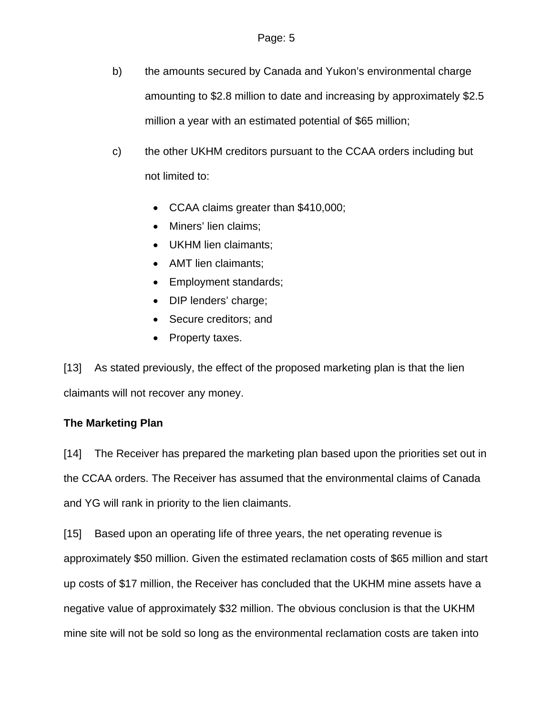- b) the amounts secured by Canada and Yukon's environmental charge amounting to \$2.8 million to date and increasing by approximately \$2.5 million a year with an estimated potential of \$65 million;
- c) the other UKHM creditors pursuant to the CCAA orders including but not limited to:
	- CCAA claims greater than \$410,000;
	- Miners' lien claims;
	- UKHM lien claimants;
	- AMT lien claimants;
	- Employment standards;
	- DIP lenders' charge;
	- Secure creditors: and
	- Property taxes.

[13] As stated previously, the effect of the proposed marketing plan is that the lien claimants will not recover any money.

## **The Marketing Plan**

[14] The Receiver has prepared the marketing plan based upon the priorities set out in the CCAA orders. The Receiver has assumed that the environmental claims of Canada and YG will rank in priority to the lien claimants.

[15] Based upon an operating life of three years, the net operating revenue is approximately \$50 million. Given the estimated reclamation costs of \$65 million and start up costs of \$17 million, the Receiver has concluded that the UKHM mine assets have a negative value of approximately \$32 million. The obvious conclusion is that the UKHM mine site will not be sold so long as the environmental reclamation costs are taken into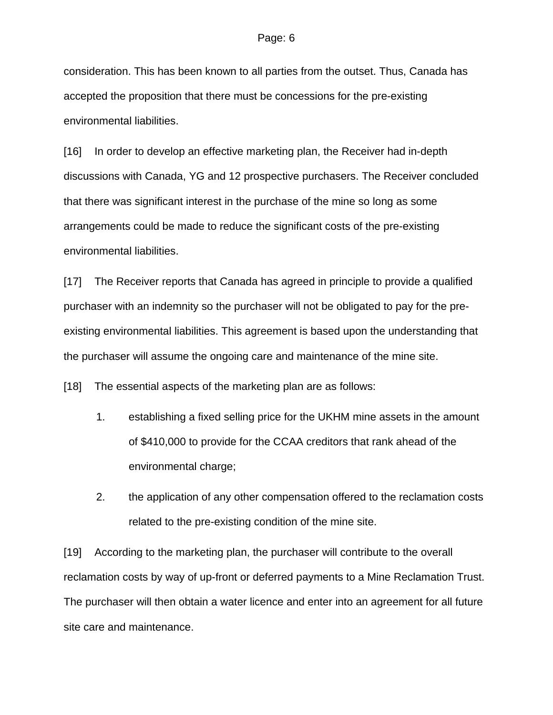consideration. This has been known to all parties from the outset. Thus, Canada has accepted the proposition that there must be concessions for the pre-existing environmental liabilities.

[16] In order to develop an effective marketing plan, the Receiver had in-depth discussions with Canada, YG and 12 prospective purchasers. The Receiver concluded that there was significant interest in the purchase of the mine so long as some arrangements could be made to reduce the significant costs of the pre-existing environmental liabilities.

[17] The Receiver reports that Canada has agreed in principle to provide a qualified purchaser with an indemnity so the purchaser will not be obligated to pay for the preexisting environmental liabilities. This agreement is based upon the understanding that the purchaser will assume the ongoing care and maintenance of the mine site.

[18] The essential aspects of the marketing plan are as follows:

- 1. establishing a fixed selling price for the UKHM mine assets in the amount of \$410,000 to provide for the CCAA creditors that rank ahead of the environmental charge;
- 2. the application of any other compensation offered to the reclamation costs related to the pre-existing condition of the mine site.

[19] According to the marketing plan, the purchaser will contribute to the overall reclamation costs by way of up-front or deferred payments to a Mine Reclamation Trust. The purchaser will then obtain a water licence and enter into an agreement for all future site care and maintenance.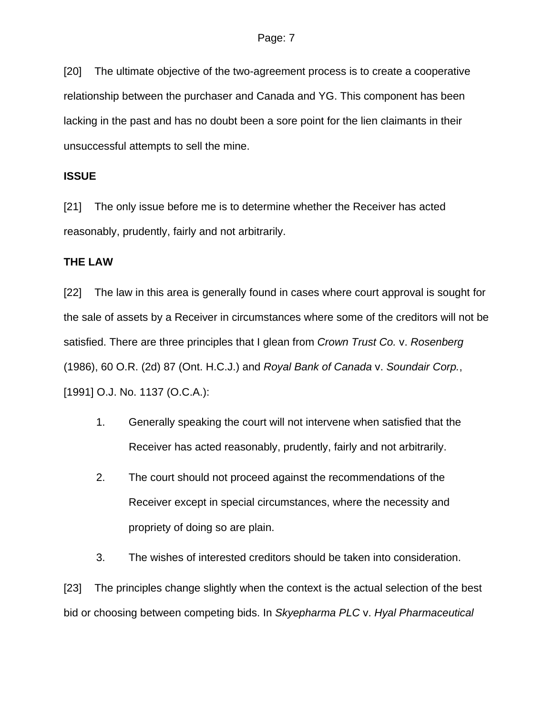[20] The ultimate objective of the two-agreement process is to create a cooperative relationship between the purchaser and Canada and YG. This component has been lacking in the past and has no doubt been a sore point for the lien claimants in their unsuccessful attempts to sell the mine.

### **ISSUE**

[21] The only issue before me is to determine whether the Receiver has acted reasonably, prudently, fairly and not arbitrarily.

### **THE LAW**

[22] The law in this area is generally found in cases where court approval is sought for the sale of assets by a Receiver in circumstances where some of the creditors will not be satisfied. There are three principles that I glean from *Crown Trust Co.* v. *Rosenberg*  (1986), 60 O.R. (2d) 87 (Ont. H.C.J.) and *Royal Bank of Canada* v. *Soundair Corp.*, [1991] O.J. No. 1137 (O.C.A.):

- 1. Generally speaking the court will not intervene when satisfied that the Receiver has acted reasonably, prudently, fairly and not arbitrarily.
- 2. The court should not proceed against the recommendations of the Receiver except in special circumstances, where the necessity and propriety of doing so are plain.
- 3. The wishes of interested creditors should be taken into consideration.

[23] The principles change slightly when the context is the actual selection of the best bid or choosing between competing bids. In *Skyepharma PLC* v. *Hyal Pharmaceutical*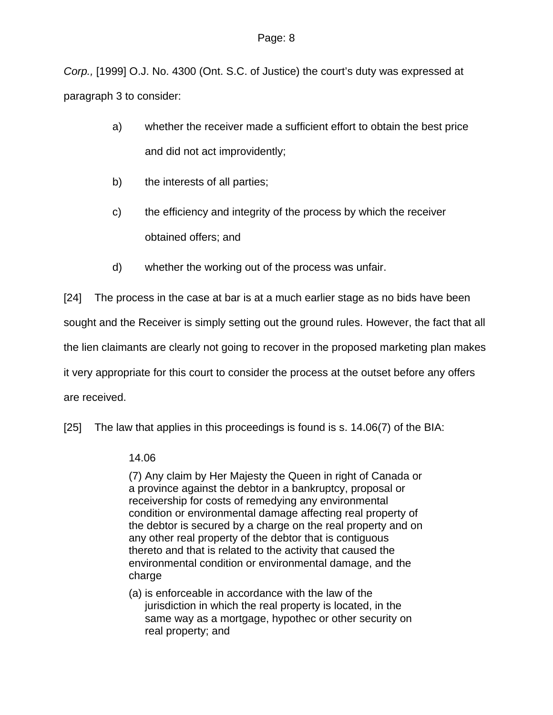*Corp.,* [1999] O.J. No. 4300 (Ont. S.C. of Justice) the court's duty was expressed at paragraph 3 to consider:

- a) whether the receiver made a sufficient effort to obtain the best price and did not act improvidently;
- b) the interests of all parties;
- c) the efficiency and integrity of the process by which the receiver obtained offers; and
- d) whether the working out of the process was unfair.

[24] The process in the case at bar is at a much earlier stage as no bids have been

sought and the Receiver is simply setting out the ground rules. However, the fact that all

the lien claimants are clearly not going to recover in the proposed marketing plan makes

it very appropriate for this court to consider the process at the outset before any offers

are received.

[25] The law that applies in this proceedings is found is s. 14.06(7) of the BIA:

### 14.06

(7) Any claim by Her Majesty the Queen in right of Canada or a province against the debtor in a bankruptcy, proposal or receivership for costs of remedying any environmental condition or environmental damage affecting real property of the debtor is secured by a charge on the real property and on any other real property of the debtor that is contiguous thereto and that is related to the activity that caused the environmental condition or environmental damage, and the charge

(a) is enforceable in accordance with the law of the jurisdiction in which the real property is located, in the same way as a mortgage, hypothec or other security on real property; and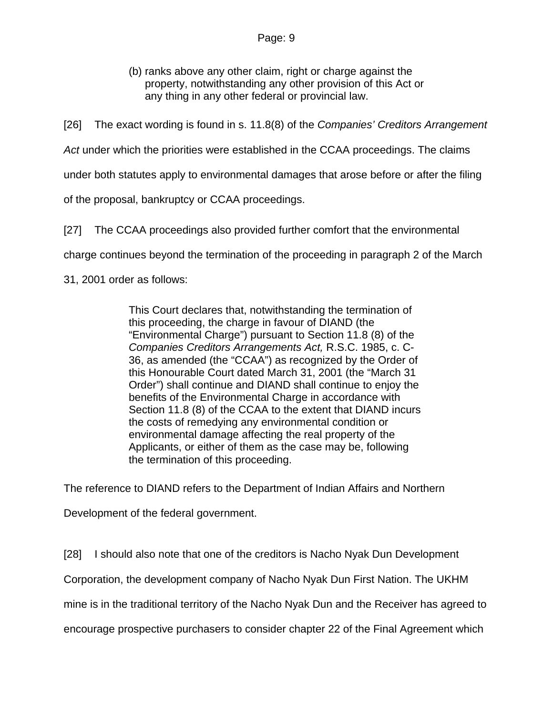(b) ranks above any other claim, right or charge against the property, notwithstanding any other provision of this Act or any thing in any other federal or provincial law.

[26] The exact wording is found in s. 11.8(8) of the *Companies' Creditors Arrangement* 

*Act* under which the priorities were established in the CCAA proceedings. The claims

under both statutes apply to environmental damages that arose before or after the filing

of the proposal, bankruptcy or CCAA proceedings.

[27] The CCAA proceedings also provided further comfort that the environmental

charge continues beyond the termination of the proceeding in paragraph 2 of the March

31, 2001 order as follows:

This Court declares that, notwithstanding the termination of this proceeding, the charge in favour of DIAND (the "Environmental Charge") pursuant to Section 11.8 (8) of the *Companies Creditors Arrangements Act,* R.S.C. 1985, c. C-36, as amended (the "CCAA") as recognized by the Order of this Honourable Court dated March 31, 2001 (the "March 31 Order") shall continue and DIAND shall continue to enjoy the benefits of the Environmental Charge in accordance with Section 11.8 (8) of the CCAA to the extent that DIAND incurs the costs of remedying any environmental condition or environmental damage affecting the real property of the Applicants, or either of them as the case may be, following the termination of this proceeding.

The reference to DIAND refers to the Department of Indian Affairs and Northern

Development of the federal government.

[28] I should also note that one of the creditors is Nacho Nyak Dun Development

Corporation, the development company of Nacho Nyak Dun First Nation. The UKHM

mine is in the traditional territory of the Nacho Nyak Dun and the Receiver has agreed to

encourage prospective purchasers to consider chapter 22 of the Final Agreement which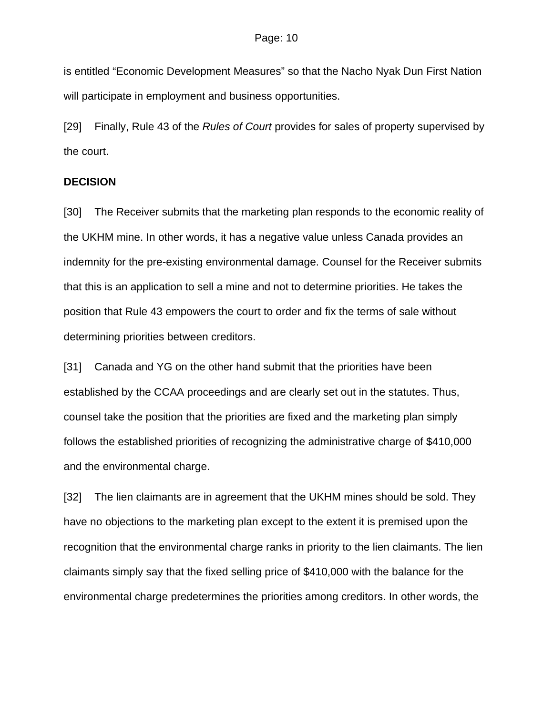is entitled "Economic Development Measures" so that the Nacho Nyak Dun First Nation will participate in employment and business opportunities.

[29] Finally, Rule 43 of the *Rules of Court* provides for sales of property supervised by the court.

### **DECISION**

[30] The Receiver submits that the marketing plan responds to the economic reality of the UKHM mine. In other words, it has a negative value unless Canada provides an indemnity for the pre-existing environmental damage. Counsel for the Receiver submits that this is an application to sell a mine and not to determine priorities. He takes the position that Rule 43 empowers the court to order and fix the terms of sale without determining priorities between creditors.

[31] Canada and YG on the other hand submit that the priorities have been established by the CCAA proceedings and are clearly set out in the statutes. Thus, counsel take the position that the priorities are fixed and the marketing plan simply follows the established priorities of recognizing the administrative charge of \$410,000 and the environmental charge.

[32] The lien claimants are in agreement that the UKHM mines should be sold. They have no objections to the marketing plan except to the extent it is premised upon the recognition that the environmental charge ranks in priority to the lien claimants. The lien claimants simply say that the fixed selling price of \$410,000 with the balance for the environmental charge predetermines the priorities among creditors. In other words, the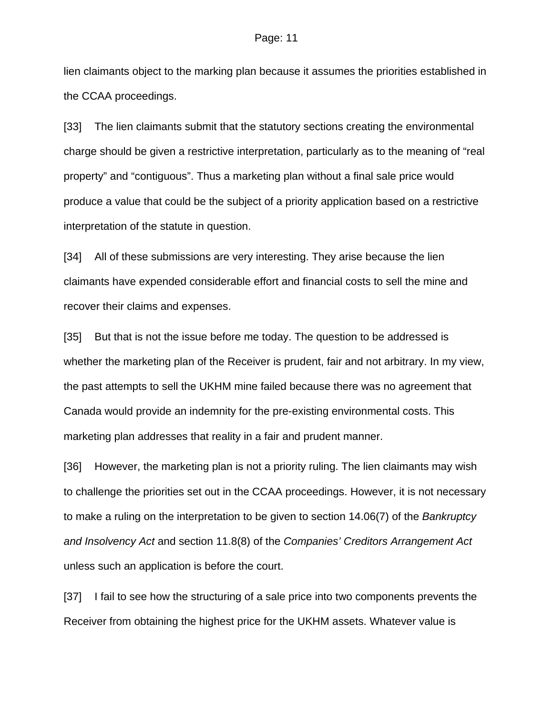lien claimants object to the marking plan because it assumes the priorities established in the CCAA proceedings.

[33] The lien claimants submit that the statutory sections creating the environmental charge should be given a restrictive interpretation, particularly as to the meaning of "real property" and "contiguous". Thus a marketing plan without a final sale price would produce a value that could be the subject of a priority application based on a restrictive interpretation of the statute in question.

[34] All of these submissions are very interesting. They arise because the lien claimants have expended considerable effort and financial costs to sell the mine and recover their claims and expenses.

[35] But that is not the issue before me today. The question to be addressed is whether the marketing plan of the Receiver is prudent, fair and not arbitrary. In my view, the past attempts to sell the UKHM mine failed because there was no agreement that Canada would provide an indemnity for the pre-existing environmental costs. This marketing plan addresses that reality in a fair and prudent manner.

[36] However, the marketing plan is not a priority ruling. The lien claimants may wish to challenge the priorities set out in the CCAA proceedings. However, it is not necessary to make a ruling on the interpretation to be given to section 14.06(7) of the *Bankruptcy and Insolvency Act* and section 11.8(8) of the *Companies' Creditors Arrangement Act* unless such an application is before the court.

[37] I fail to see how the structuring of a sale price into two components prevents the Receiver from obtaining the highest price for the UKHM assets. Whatever value is